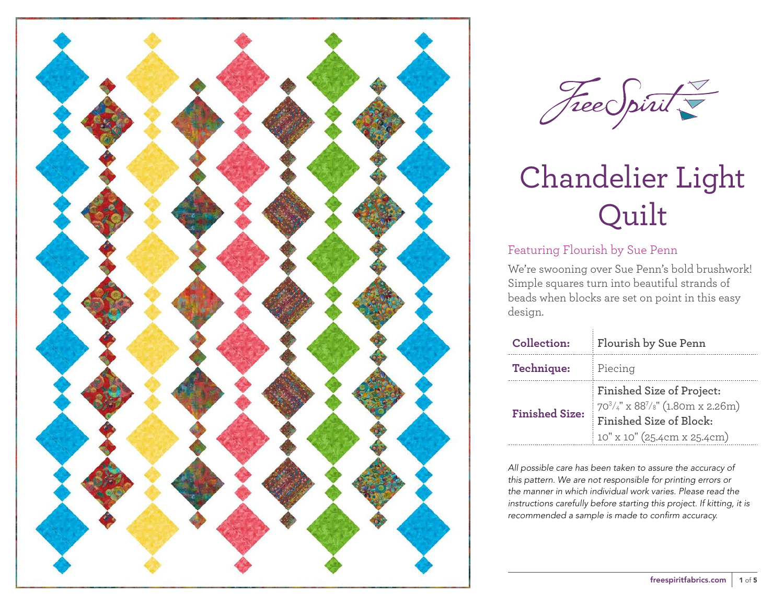



#### Featuring Flourish by Sue Penn

We're swooning over Sue Penn's bold brushwork! Simple squares turn into beautiful strands of beads when blocks are set on point in this easy design.

| Collection:           | Flourish by Sue Penn                                                                                                                    |  |  |
|-----------------------|-----------------------------------------------------------------------------------------------------------------------------------------|--|--|
| Technique:            | Piecing                                                                                                                                 |  |  |
| <b>Finished Size:</b> | Finished Size of Project:<br>$70^3/4$ " x 88 <sup>7</sup> /8" (1.80m x 2.26m)<br>Finished Size of Block:<br>10" x 10" (25.4cm x 25.4cm) |  |  |

*All possible care has been taken to assure the accuracy of this pattern. We are not responsible for printing errors or the manner in which individual work varies. Please read the instructions carefully before starting this project. If kitting, it is recommended a sample is made to confirm accuracy.*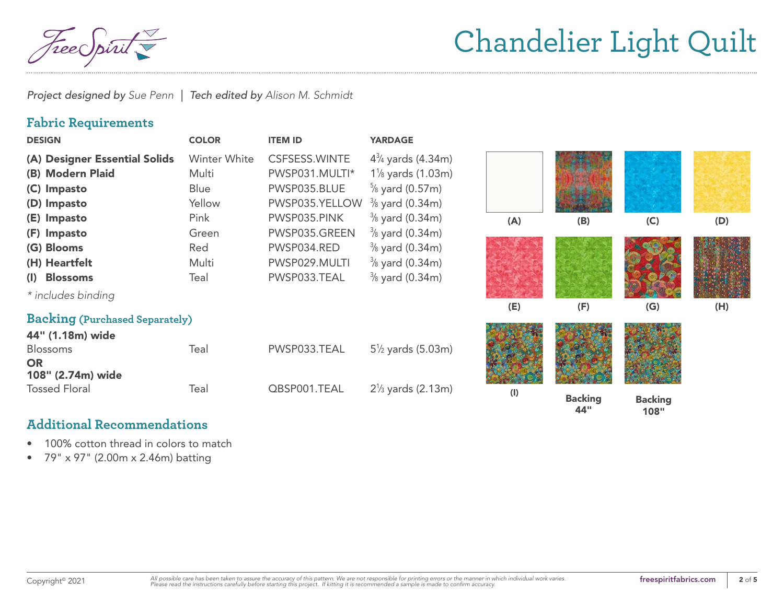reec

*Project designed by Sue Penn | Tech edited by Alison M. Schmidt*

#### **Fabric Requirements**

| <b>DESIGN</b>                         | <b>COLOR</b> | <b>ITEM ID</b>       | <b>YARDAGE</b>               |           |                       |                        |     |
|---------------------------------------|--------------|----------------------|------------------------------|-----------|-----------------------|------------------------|-----|
| (A) Designer Essential Solids         | Winter White | <b>CSFSESS.WINTE</b> | $4\frac{3}{4}$ yards (4.34m) |           |                       |                        |     |
| (B) Modern Plaid                      | Multi        | PWSP031.MULTI*       | $1\%$ yards (1.03m)          |           |                       |                        |     |
| (C) Impasto                           | Blue         | PWSP035.BLUE         | $\frac{5}{8}$ yard (0.57m)   |           |                       |                        |     |
| (D) Impasto                           | Yellow       | PWSP035.YELLOW       | $\frac{3}{8}$ yard (0.34m)   |           |                       |                        |     |
| (E) Impasto                           | Pink         | PWSP035.PINK         | $\frac{3}{8}$ yard (0.34m)   | (A)       | (B)                   | (C)                    | (D) |
| (F) Impasto                           | Green        | PWSP035.GREEN        | $\frac{3}{8}$ yard (0.34m)   |           |                       |                        |     |
| (G) Blooms                            | Red          | PWSP034.RED          | $\frac{3}{8}$ yard (0.34m)   |           |                       |                        |     |
| (H) Heartfelt                         | Multi        | PWSP029.MULTI        | $\frac{3}{8}$ yard (0.34m)   |           |                       |                        |     |
| (I) Blossoms                          | Teal         | PWSP033.TEAL         | $\frac{3}{8}$ yard (0.34m)   |           |                       |                        |     |
| * includes binding                    |              |                      |                              |           |                       |                        |     |
|                                       |              |                      |                              | (E)       | (F)                   | (G)                    | (H) |
| <b>Backing (Purchased Separately)</b> |              |                      |                              |           |                       |                        |     |
| 44" (1.18m) wide                      |              |                      |                              |           |                       |                        |     |
| <b>Blossoms</b>                       | Teal         | PWSP033.TEAL         | $5\frac{1}{2}$ yards (5.03m) |           |                       |                        |     |
| <b>OR</b>                             |              |                      |                              |           |                       |                        |     |
| 108" (2.74m) wide                     |              |                      |                              |           |                       |                        |     |
| <b>Tossed Floral</b>                  | Teal         | QBSP001.TEAL         | $2\frac{1}{3}$ yards (2.13m) | $($ l $)$ | <b>Backing</b><br>44" | <b>Backing</b><br>108" |     |

#### **Additional Recommendations**

- 100% cotton thread in colors to match
- 79" x 97" (2.00m x 2.46m) batting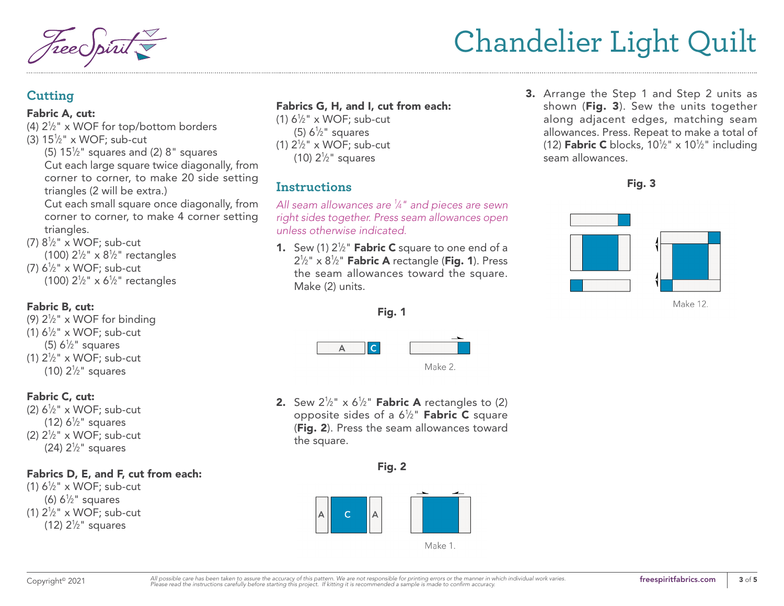seam allowances.

#### **Cutting**

#### Fabric A, cut:

- (4)  $2\frac{1}{2}$ " x WOF for top/bottom borders
- (3)  $15\frac{1}{2}$ " x WOF; sub-cut
	- $(5)$  15<sup> $1/2$ </sup>" squares and (2) 8" squares Cut each large square twice diagonally, from corner to corner, to make 20 side setting triangles (2 will be extra.)

Cut each small square once diagonally, from corner to corner, to make 4 corner setting triangles.

(7)  $8\frac{1}{2}$ " x WOF; sub-cut (100)  $2\frac{1}{2}$ " x  $8\frac{1}{2}$ " rectangles (7)  $6\frac{1}{2}$ " x WOF; sub-cut (100)  $2\frac{1}{2}$ " x 6<sup>1</sup>/<sub>2</sub>" rectangles

#### Fabric B, cut:

(9)  $2\frac{1}{2}$ " x WOF for binding (1)  $6\frac{1}{2}$ " x WOF; sub-cut (5)  $6\frac{1}{2}$ " squares (1)  $2\frac{1}{2}$ " x WOF; sub-cut (10)  $2\frac{1}{2}$ " squares

#### Fabric C, cut:

(2)  $6\frac{1}{2}$ " x WOF; sub-cut (12)  $6\frac{1}{2}$ " squares (2)  $2\frac{1}{2}$ " x WOF; sub-cut (24)  $2\frac{1}{2}$ " squares

#### Fabrics D, E, and F, cut from each:

(1)  $6\frac{1}{2}$ " x WOF; sub-cut (6)  $6\frac{1}{2}$ " squares (1)  $2\frac{1}{2}$ " x WOF; sub-cut (12)  $2\frac{1}{2}$ " squares

#### Fabrics G, H, and I, cut from each:

(1)  $6\frac{1}{2}$ " x WOF; sub-cut (5)  $6\frac{1}{2}$ " squares (1)  $2\frac{1}{2}$ " x WOF; sub-cut (10)  $2\frac{1}{2}$ " squares

### **Instructions**

*All seam allowances are 1 ⁄4" and pieces are sewn right sides together. Press seam allowances open unless otherwise indicated.*

1. Sew (1)  $2\frac{1}{2}$ " Fabric C square to one end of a  $2\frac{1}{2}$ " x 8 $\frac{1}{2}$ " **Fabric A** rectangle (**Fig. 1**). Press the seam allowances toward the square. Make (2) units.



Fig. 3

**3.** Arrange the Step 1 and Step 2 units as shown (Fig. 3). Sew the units together along adjacent edges, matching seam allowances. Press. Repeat to make a total of (12) **Fabric C** blocks,  $10\frac{1}{2}$ " x  $10\frac{1}{2}$ " including

Make 12.



Fig. 1

**2.** Sew  $2\frac{1}{2}$ " x  $6\frac{1}{2}$ " **Fabric A** rectangles to (2) opposite sides of a  $6\frac{1}{2}$ " **Fabric C** square (Fig. 2). Press the seam allowances toward the square.

#### Fig. 2

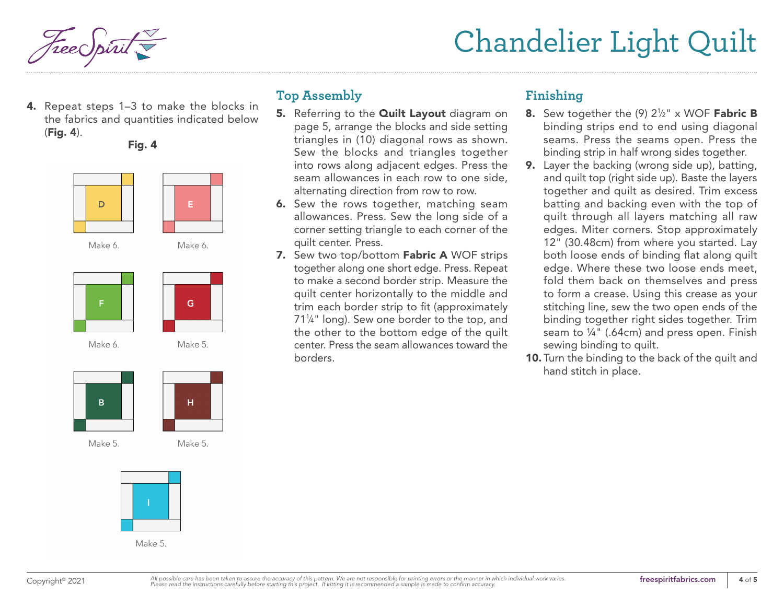4. Repeat steps 1–3 to make the blocks in the fabrics and quantities indicated below (Fig. 4).

Fig. 4





Make 6.



G.



Make 5.

Make 5.

H.



Make 5

### **Top Assembly**

- 5. Referring to the **[Quilt Layout](#page-4-0)** diagram on [page 5,](#page-4-0) arrange the blocks and side setting triangles in (10) diagonal rows as shown. Sew the blocks and triangles together into rows along adjacent edges. Press the seam allowances in each row to one side, alternating direction from row to row.
- **6.** Sew the rows together, matching seam allowances. Press. Sew the long side of a corner setting triangle to each corner of the quilt center. Press.
- 7. Sew two top/bottom Fabric A WOF strips together along one short edge. Press. Repeat to make a second border strip. Measure the quilt center horizontally to the middle and trim each border strip to fit (approximately 711 ⁄4" long). Sew one border to the top, and the other to the bottom edge of the quilt center. Press the seam allowances toward the borders.

### **Finishing**

- **8.** Sew together the  $(9)$   $2\frac{1}{2}$ " x WOF **Fabric B** binding strips end to end using diagonal seams. Press the seams open. Press the binding strip in half wrong sides together.
- 9. Layer the backing (wrong side up), batting, and quilt top (right side up). Baste the layers together and quilt as desired. Trim excess batting and backing even with the top of quilt through all layers matching all raw edges. Miter corners. Stop approximately 12" (30.48cm) from where you started. Lay both loose ends of binding flat along quilt edge. Where these two loose ends meet, fold them back on themselves and press to form a crease. Using this crease as your stitching line, sew the two open ends of the binding together right sides together. Trim seam to ¼" (.64cm) and press open. Finish sewing binding to quilt.
- 10. Turn the binding to the back of the quilt and hand stitch in place.